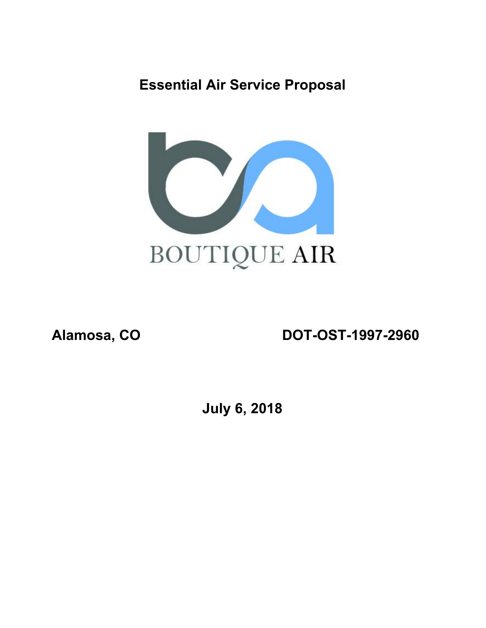## **Essential Air Service Proposal**



**Alamosa, CO DOT-OST-1997-2960**

**July 6, 2018**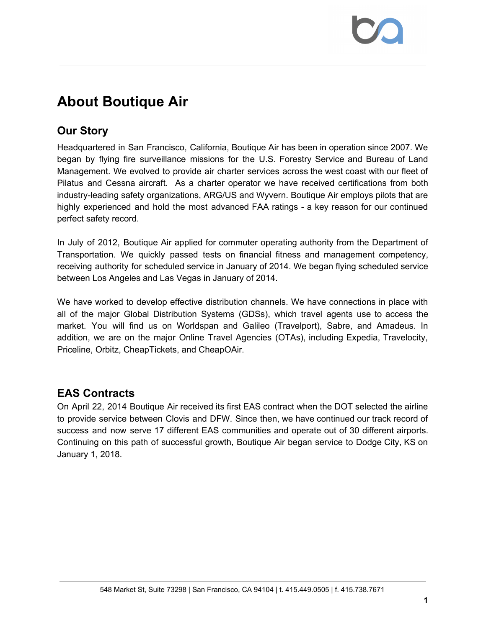# **About Boutique Air**

## **Our Story**

Headquartered in San Francisco, California, Boutique Air has been in operation since 2007. We began by flying fire surveillance missions for the U.S. Forestry Service and Bureau of Land Management. We evolved to provide air charter services across the west coast with our fleet of Pilatus and Cessna aircraft. As a charter operator we have received certifications from both industry-leading safety organizations, ARG/US and Wyvern. Boutique Air employs pilots that are highly experienced and hold the most advanced FAA ratings - a key reason for our continued perfect safety record.

In July of 2012, Boutique Air applied for commuter operating authority from the Department of Transportation. We quickly passed tests on financial fitness and management competency, receiving authority for scheduled service in January of 2014. We began flying scheduled service between Los Angeles and Las Vegas in January of 2014.

We have worked to develop effective distribution channels. We have connections in place with all of the major Global Distribution Systems (GDSs), which travel agents use to access the market. You will find us on Worldspan and Galileo (Travelport), Sabre, and Amadeus. In addition, we are on the major Online Travel Agencies (OTAs), including Expedia, Travelocity, Priceline, Orbitz, CheapTickets, and CheapOAir.

### **EAS Contracts**

On April 22, 2014 Boutique Air received its first EAS contract when the DOT selected the airline to provide service between Clovis and DFW. Since then, we have continued our track record of success and now serve 17 different EAS communities and operate out of 30 different airports. Continuing on this path of successful growth, Boutique Air began service to Dodge City, KS on January 1, 2018.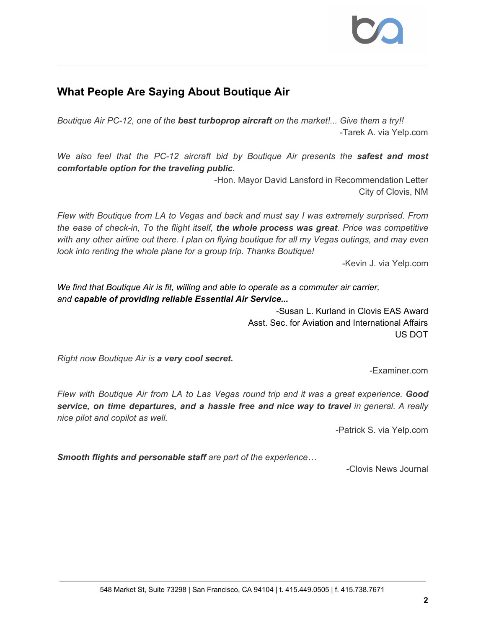### **What People Are Saying About Boutique Air**

*Boutique Air PC-12, one of the best turboprop aircraft on the market!... Give them a try!!* -Tarek A. via Yelp.com

*We also feel that the PC-12 aircraft bid by Boutique Air presents the safest and most comfortable option for the traveling public.*

> -Hon. Mayor David Lansford in Recommendation Letter City of Clovis, NM

*Flew with Boutique from LA to Vegas and back and must say I was extremely surprised. From the ease of check-in, To the flight itself, the whole process was great. Price was competitive* with any other airline out there. I plan on flying boutique for all my Vegas outings, and may even *look into renting the whole plane for a group trip. Thanks Boutique!*

-Kevin J. via Yelp.com

*We find that Boutique Air is fit, willing and able to operate as a commuter air carrier, and capable of providing reliable Essential Air Service...*

> -Susan L. Kurland in Clovis EAS Award Asst. Sec. for Aviation and International Affairs US DOT

*Right now Boutique Air is a very cool secret.*

-Examiner.com

*Flew with Boutique Air from LA to Las Vegas round trip and it was a great experience. Good service, on time departures, and a hassle free and nice way to travel in general. A really nice pilot and copilot as well.*

-Patrick S. via Yelp.com

*Smooth flights and personable staff are part of the experience…*

-Clovis News Journal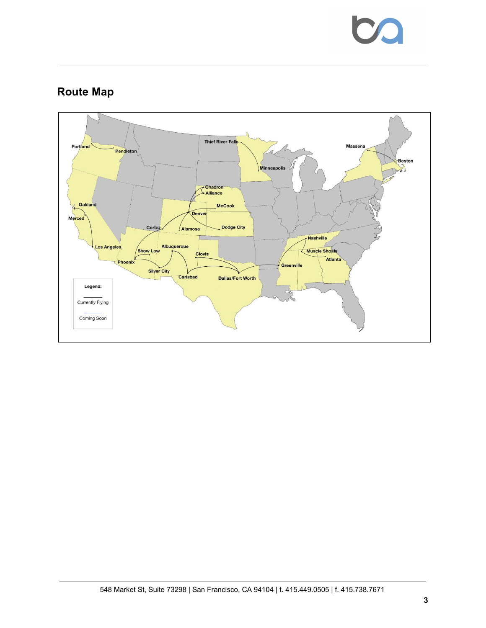

## **Route Map**

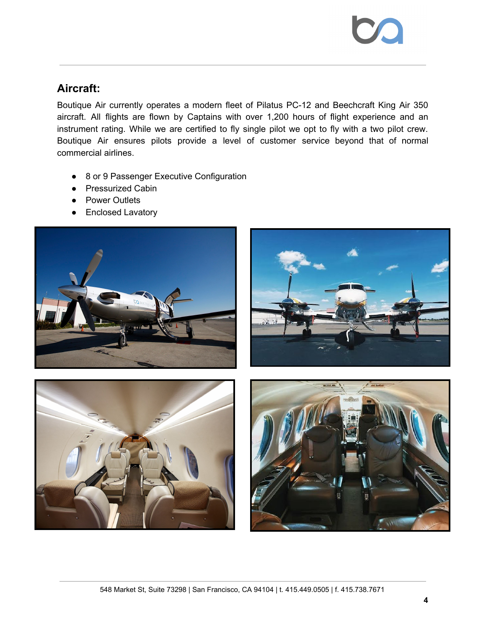

#### **Aircraft:**

Boutique Air currently operates a modern fleet of Pilatus PC-12 and Beechcraft King Air 350 aircraft. All flights are flown by Captains with over 1,200 hours of flight experience and an instrument rating. While we are certified to fly single pilot we opt to fly with a two pilot crew. Boutique Air ensures pilots provide a level of customer service beyond that of normal commercial airlines.

- 8 or 9 Passenger Executive Configuration
- Pressurized Cabin
- Power Outlets
- Enclosed Lavatory





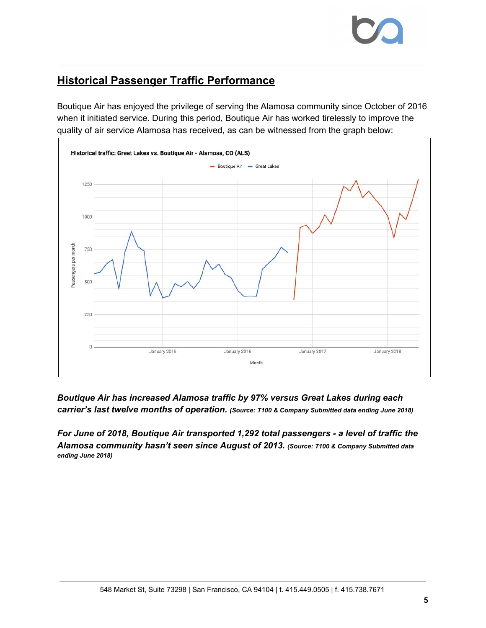### **Historical Passenger Traffic Performance**

Boutique Air has enjoyed the privilege of serving the Alamosa community since October of 2016 when it initiated service. During this period, Boutique Air has worked tirelessly to improve the quality of air service Alamosa has received, as can be witnessed from the graph below:



*Boutique Air has increased Alamosa traffic by 97% versus Great Lakes during each carrier's last twelve months of operation. (Source: T100 & Company Submitted data ending June 2018)*

*For June of 2018, Boutique Air transported 1,292 total passengers - a level of traffic the Alamosa community hasn't seen since August of 2013. (Source: T100 & Company Submitted data ending June 2018)*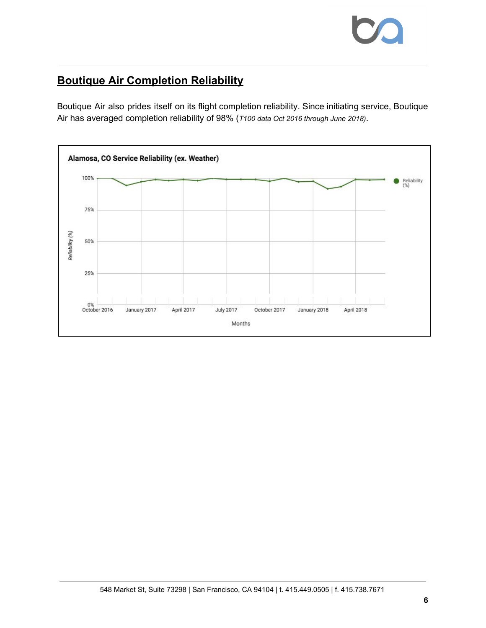

## **Boutique Air Completion Reliability**

Boutique Air also prides itself on its flight completion reliability. Since initiating service, Boutique Air has averaged completion reliability of 98% (*T100 data Oct 2016 through June 2018)*.

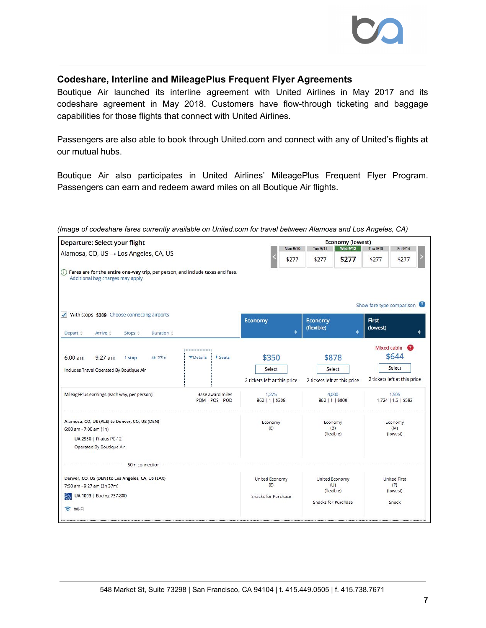#### **Codeshare, Interline and MileagePlus Frequent Flyer Agreements**

Boutique Air launched its interline agreement with United Airlines in May 2017 and its codeshare agreement in May 2018. Customers have flow-through ticketing and baggage capabilities for those flights that connect with United Airlines.

Passengers are also able to book through United.com and connect with any of United's flights at our mutual hubs.

Boutique Air also participates in United Airlines' MileagePlus Frequent Flyer Program. Passengers can earn and redeem award miles on all Boutique Air flights.

| Departure: Select your flight                                                                                                         |                                     |                                                 |   |                                                            | <b>Economy (lowest)</b> |                                                       |                                                                |
|---------------------------------------------------------------------------------------------------------------------------------------|-------------------------------------|-------------------------------------------------|---|------------------------------------------------------------|-------------------------|-------------------------------------------------------|----------------------------------------------------------------|
| Alamosa, CO, US → Los Angeles, CA, US                                                                                                 |                                     | Tue 9/11<br>Mon 9/10<br>\$277<br>\$277          |   | <b>Wed 9/12</b><br>Thu 9/13<br>\$277<br>\$277              |                         | Fri 9/14<br>\$277                                     |                                                                |
| (i) Fares are for the entire one-way trip, per person, and include taxes and fees.<br>Additional bag charges may apply.               |                                     |                                                 |   |                                                            |                         |                                                       |                                                                |
| With stops \$309 Choose connecting airports<br>$\checkmark$<br>Depart =<br>Arrive =<br>Duration $z$<br>Stops $z$                      |                                     | <b>Economy</b>                                  | è | Economy<br>(flexible)                                      |                         | Show fare type comparison<br><b>First</b><br>(lowest) |                                                                |
| $6:00$ am<br>$9:27$ am<br>4h 27m<br>1 stop<br>Includes Travel Operated By Boutique Air                                                | <br>Seats<br>Details                | \$350<br>Select<br>2 tickets left at this price |   | \$878<br>Select<br>2 tickets left at this price            |                         |                                                       | Mixed cabin<br>\$644<br>Select<br>2 tickets left at this price |
| MileagePlus earnings (each way, per person):                                                                                          | Base award miles<br>PQM   PQS   PQD | 1.275<br>862   1   \$308                        |   | 4,000<br>862   1   \$800                                   |                         |                                                       | 1,505<br>1,724   1.5   \$582                                   |
| Alamosa, CO, US (ALS) to Denver, CO, US (DEN)<br>6:00 am - 7:00 am (1h)<br><b>UA 2950   Pilatus PC-12</b><br>Operated By Boutique Air |                                     | Economy<br>(E)                                  |   | Economy<br>(B)<br>(flexible)                               |                         |                                                       | Economy<br>(M)<br>(lowest)                                     |
| 50m connection                                                                                                                        |                                     |                                                 |   |                                                            |                         |                                                       |                                                                |
| Denver, CO, US (DEN) to Los Angeles, CA, US (LAX)<br>7:50 am - 9:27 am (2h 37m)<br>UA 1093   Boeing 737-800<br>赖<br>S Wi-Fi           |                                     | United Economy<br>(E)<br>Snacks for Purchase    |   | United Economy<br>(U)<br>(flexible)<br>Snacks for Purchase |                         |                                                       | <b>United First</b><br>(P)<br>(lowest)<br>Snack                |

*(Image of codeshare fares currently available on United.com for travel between Alamosa and Los Angeles, CA)*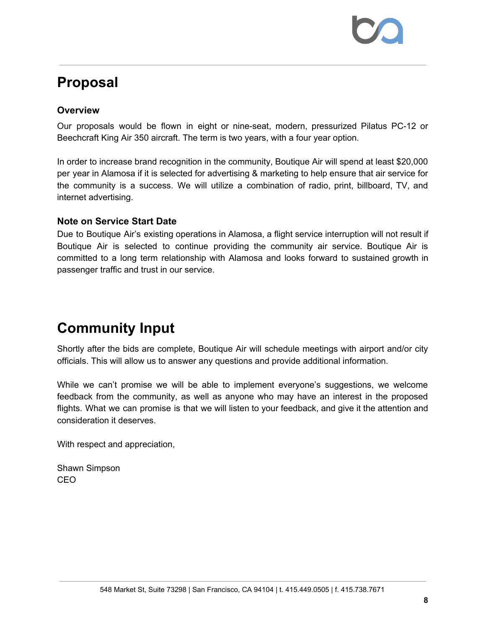# **Proposal**

#### **Overview**

Our proposals would be flown in eight or nine-seat, modern, pressurized Pilatus PC-12 or Beechcraft King Air 350 aircraft. The term is two years, with a four year option.

In order to increase brand recognition in the community, Boutique Air will spend at least \$20,000 per year in Alamosa if it is selected for advertising & marketing to help ensure that air service for the community is a success. We will utilize a combination of radio, print, billboard, TV, and internet advertising.

#### **Note on Service Start Date**

Due to Boutique Air's existing operations in Alamosa, a flight service interruption will not result if Boutique Air is selected to continue providing the community air service. Boutique Air is committed to a long term relationship with Alamosa and looks forward to sustained growth in passenger traffic and trust in our service.

# **Community Input**

Shortly after the bids are complete, Boutique Air will schedule meetings with airport and/or city officials. This will allow us to answer any questions and provide additional information.

While we can't promise we will be able to implement everyone's suggestions, we welcome feedback from the community, as well as anyone who may have an interest in the proposed flights. What we can promise is that we will listen to your feedback, and give it the attention and consideration it deserves.

With respect and appreciation,

Shawn Simpson CEO